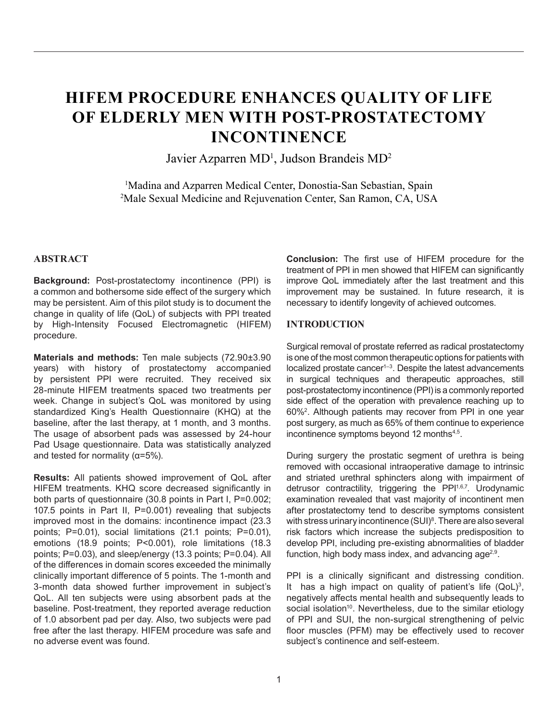# **HIFEM PROCEDURE ENHANCES QUALITY OF LIFE OF ELDERLY MEN WITH POST-PROSTATECTOMY INCONTINENCE**

Javier Azparren MD<sup>1</sup>, Judson Brandeis MD<sup>2</sup>

<sup>1</sup>Madina and Azparren Medical Center, Donostia-San Sebastian, Spain 2 Male Sexual Medicine and Rejuvenation Center, San Ramon, CA, USA

### **ABSTRACT**

**Background:** Post-prostatectomy incontinence (PPI) is a common and bothersome side effect of the surgery which may be persistent. Aim of this pilot study is to document the change in quality of life (QoL) of subjects with PPI treated by High-Intensity Focused Electromagnetic (HIFEM) procedure.

**Materials and methods:** Ten male subjects (72.90±3.90 years) with history of prostatectomy accompanied by persistent PPI were recruited. They received six 28-minute HIFEM treatments spaced two treatments per week. Change in subject's QoL was monitored by using standardized King's Health Questionnaire (KHQ) at the baseline, after the last therapy, at 1 month, and 3 months. The usage of absorbent pads was assessed by 24-hour Pad Usage questionnaire. Data was statistically analyzed and tested for normality ( $\alpha$ =5%).

**Results:** All patients showed improvement of QoL after HIFEM treatments. KHQ score decreased significantly in both parts of questionnaire (30.8 points in Part I, P=0.002; 107.5 points in Part II, P=0.001) revealing that subjects improved most in the domains: incontinence impact (23.3 points; P=0.01), social limitations (21.1 points; P=0.01), emotions (18.9 points; P<0.001), role limitations (18.3 points; P=0.03), and sleep/energy (13.3 points; P=0.04). All of the differences in domain scores exceeded the minimally clinically important difference of 5 points. The 1-month and 3-month data showed further improvement in subject's QoL. All ten subjects were using absorbent pads at the baseline. Post-treatment, they reported average reduction of 1.0 absorbent pad per day. Also, two subjects were pad free after the last therapy. HIFEM procedure was safe and no adverse event was found.

**Conclusion:** The first use of HIFEM procedure for the treatment of PPI in men showed that HIFEM can significantly improve QoL immediately after the last treatment and this improvement may be sustained. In future research, it is necessary to identify longevity of achieved outcomes.

#### **INTRODUCTION**

Surgical removal of prostate referred as radical prostatectomy is one of the most common therapeutic options for patients with localized prostate cancer<sup>1-3</sup>. Despite the latest advancements in surgical techniques and therapeutic approaches, still post-prostatectomy incontinence (PPI) is a commonly reported side effect of the operation with prevalence reaching up to 60%2 . Although patients may recover from PPI in one year post surgery, as much as 65% of them continue to experience incontinence symptoms beyond 12 months<sup>4,5</sup>.

During surgery the prostatic segment of urethra is being removed with occasional intraoperative damage to intrinsic and striated urethral sphincters along with impairment of detrusor contractility, triggering the PPI<sup>1,6,7</sup>. Urodynamic examination revealed that vast majority of incontinent men after prostatectomy tend to describe symptoms consistent with stress urinary incontinence (SUI)<sup>8</sup>. There are also several risk factors which increase the subjects predisposition to develop PPI, including pre-existing abnormalities of bladder function, high body mass index, and advancing  $age^{2,9}$ .

PPI is a clinically significant and distressing condition. It has a high impact on quality of patient's life  $(QoL)<sup>3</sup>$ , negatively affects mental health and subsequently leads to social isolation<sup>10</sup>. Nevertheless, due to the similar etiology of PPI and SUI, the non-surgical strengthening of pelvic floor muscles (PFM) may be effectively used to recover subject's continence and self-esteem.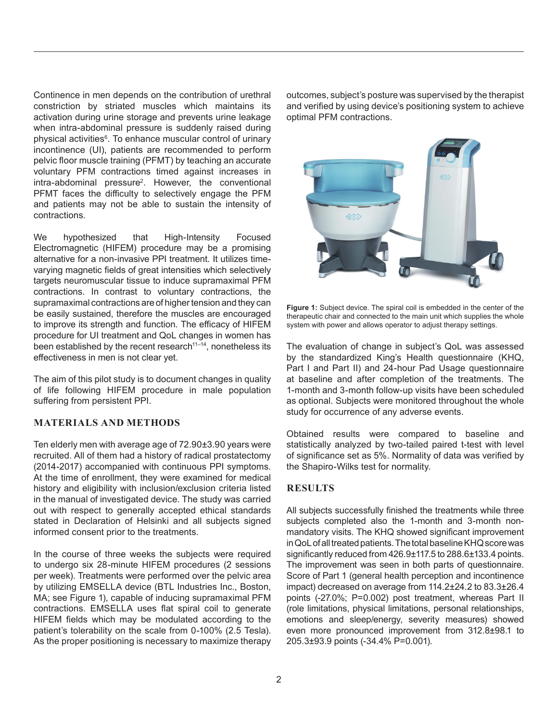Continence in men depends on the contribution of urethral constriction by striated muscles which maintains its activation during urine storage and prevents urine leakage when intra-abdominal pressure is suddenly raised during physical activities<sup>6</sup>. To enhance muscular control of urinary incontinence (UI), patients are recommended to perform pelvic floor muscle training (PFMT) by teaching an accurate voluntary PFM contractions timed against increases in intra-abdominal pressure<sup>2</sup>. However, the conventional PFMT faces the difficulty to selectively engage the PFM and patients may not be able to sustain the intensity of contractions.

We hypothesized that High-Intensity Focused Electromagnetic (HIFEM) procedure may be a promising alternative for a non-invasive PPI treatment. It utilizes timevarying magnetic fields of great intensities which selectively targets neuromuscular tissue to induce supramaximal PFM contractions. In contrast to voluntary contractions, the supramaximal contractions are of higher tension and they can be easily sustained, therefore the muscles are encouraged to improve its strength and function. The efficacy of HIFEM procedure for UI treatment and QoL changes in women has been established by the recent research $11-14$ , nonetheless its effectiveness in men is not clear yet.

The aim of this pilot study is to document changes in quality of life following HIFEM procedure in male population suffering from persistent PPI.

## **MATERIALS AND METHODS**

Ten elderly men with average age of 72.90±3.90 years were recruited. All of them had a history of radical prostatectomy (2014-2017) accompanied with continuous PPI symptoms. At the time of enrollment, they were examined for medical history and eligibility with inclusion/exclusion criteria listed in the manual of investigated device. The study was carried out with respect to generally accepted ethical standards stated in Declaration of Helsinki and all subjects signed informed consent prior to the treatments.

In the course of three weeks the subjects were required to undergo six 28-minute HIFEM procedures (2 sessions per week). Treatments were performed over the pelvic area by utilizing EMSELLA device (BTL Industries Inc., Boston, MA; see Figure 1), capable of inducing supramaximal PFM contractions. EMSELLA uses flat spiral coil to generate HIFEM fields which may be modulated according to the patient's tolerability on the scale from 0-100% (2.5 Tesla). As the proper positioning is necessary to maximize therapy outcomes, subject's posture was supervised by the therapist and verified by using device's positioning system to achieve optimal PFM contractions.



**Figure 1:** Subject device. The spiral coil is embedded in the center of the therapeutic chair and connected to the main unit which supplies the whole system with power and allows operator to adjust therapy settings.

The evaluation of change in subject's QoL was assessed by the standardized King's Health questionnaire (KHQ, Part I and Part II) and 24-hour Pad Usage questionnaire at baseline and after completion of the treatments. The 1-month and 3-month follow-up visits have been scheduled as optional. Subjects were monitored throughout the whole study for occurrence of any adverse events.

Obtained results were compared to baseline and statistically analyzed by two-tailed paired t-test with level of significance set as 5%. Normality of data was verified by the Shapiro-Wilks test for normality.

# **RESULTS**

All subjects successfully finished the treatments while three subjects completed also the 1-month and 3-month nonmandatory visits. The KHQ showed significant improvement in QoL of all treated patients. The total baseline KHQ score was significantly reduced from 426.9±117.5 to 288.6±133.4 points. The improvement was seen in both parts of questionnaire. Score of Part 1 (general health perception and incontinence impact) decreased on average from 114.2±24.2 to 83.3±26.4 points (-27.0%; P=0.002) post treatment, whereas Part II (role limitations, physical limitations, personal relationships, emotions and sleep/energy, severity measures) showed even more pronounced improvement from 312.8±98.1 to 205.3±93.9 points (-34.4% P=0.001).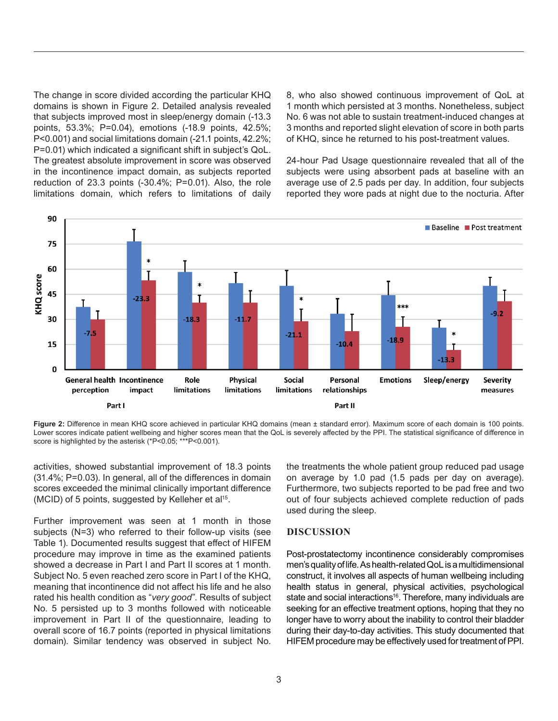The change in score divided according the particular KHQ domains is shown in Figure 2. Detailed analysis revealed that subjects improved most in sleep/energy domain (-13.3 points, 53.3%; P=0.04), emotions (-18.9 points, 42.5%; P<0.001) and social limitations domain (-21.1 points, 42.2%; P=0.01) which indicated a significant shift in subject's QoL. The greatest absolute improvement in score was observed in the incontinence impact domain, as subjects reported reduction of 23.3 points (-30.4%; P=0.01). Also, the role limitations domain, which refers to limitations of daily 8, who also showed continuous improvement of QoL at 1 month which persisted at 3 months. Nonetheless, subject No. 6 was not able to sustain treatment-induced changes at 3 months and reported slight elevation of score in both parts of KHQ, since he returned to his post-treatment values.

24-hour Pad Usage questionnaire revealed that all of the subjects were using absorbent pads at baseline with an average use of 2.5 pads per day. In addition, four subjects reported they wore pads at night due to the nocturia. After



**Figure 2:** Difference in mean KHQ score achieved in particular KHQ domains (mean ± standard error). Maximum score of each domain is 100 points. Lower scores indicate patient wellbeing and higher scores mean that the QoL is severely affected by the PPI. The statistical significance of difference in score is highlighted by the asterisk (\*P<0.05; \*\*\*P<0.001).

activities, showed substantial improvement of 18.3 points (31.4%; P=0.03). In general, all of the differences in domain scores exceeded the minimal clinically important difference (MCID) of 5 points, suggested by Kelleher et al<sup>15</sup>.

Further improvement was seen at 1 month in those subjects (N=3) who referred to their follow-up visits (see Table 1). Documented results suggest that effect of HIFEM procedure may improve in time as the examined patients showed a decrease in Part I and Part II scores at 1 month. Subject No. 5 even reached zero score in Part I of the KHQ, meaning that incontinence did not affect his life and he also rated his health condition as "*very good*". Results of subject No. 5 persisted up to 3 months followed with noticeable improvement in Part II of the questionnaire, leading to overall score of 16.7 points (reported in physical limitations domain). Similar tendency was observed in subject No.

the treatments the whole patient group reduced pad usage on average by 1.0 pad (1.5 pads per day on average). Furthermore, two subjects reported to be pad free and two out of four subjects achieved complete reduction of pads used during the sleep.

## **DISCUSSION**

Post-prostatectomy incontinence considerably compromises men'squalityoflife.Ashealth-relatedQoLisamultidimensional construct, it involves all aspects of human wellbeing including health status in general, physical activities, psychological state and social interactions<sup>16</sup>. Therefore, many individuals are seeking for an effective treatment options, hoping that they no longer have to worry about the inability to control their bladder during their day-to-day activities. This study documented that HIFEM procedure may be effectively used for treatment of PPI.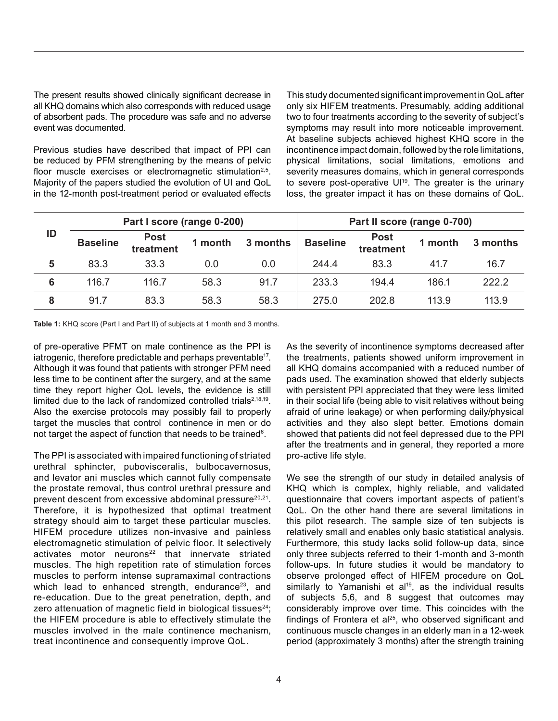The present results showed clinically significant decrease in all KHQ domains which also corresponds with reduced usage of absorbent pads. The procedure was safe and no adverse event was documented.

Previous studies have described that impact of PPI can be reduced by PFM strengthening by the means of pelvic floor muscle exercises or electromagnetic stimulation<sup>2,5</sup>. Majority of the papers studied the evolution of UI and QoL in the 12-month post-treatment period or evaluated effects This study documented significant improvement inQoL after only six HIFEM treatments. Presumably, adding additional two to four treatments according to the severity of subject's symptoms may result into more noticeable improvement. At baseline subjects achieved highest KHQ score in the incontinence impact domain, followed by the role limitations, physical limitations, social limitations, emotions and severity measures domains, which in general corresponds to severe post-operative UI<sup>19</sup>. The greater is the urinary loss, the greater impact it has on these domains of QoL.

| ID | Part I score (range 0-200) |                          |         |          | Part II score (range 0-700) |                          |         |          |
|----|----------------------------|--------------------------|---------|----------|-----------------------------|--------------------------|---------|----------|
|    | <b>Baseline</b>            | <b>Post</b><br>treatment | 1 month | 3 months | <b>Baseline</b>             | <b>Post</b><br>treatment | 1 month | 3 months |
| 5  | 83.3                       | 33.3                     | 0.0     | 0.0      | 244.4                       | 83.3                     | 41.7    | 16.7     |
| 6  | 116.7                      | 116.7                    | 58.3    | 91.7     | 233.3                       | 194.4                    | 186.1   | 222.2    |
| 8  | 91.7                       | 83.3                     | 58.3    | 58.3     | 275.0                       | 202.8                    | 113.9   | 113.9    |

**Table 1:** KHQ score (Part I and Part II) of subjects at 1 month and 3 months.

of pre-operative PFMT on male continence as the PPI is iatrogenic, therefore predictable and perhaps preventable<sup>17</sup>. Although it was found that patients with stronger PFM need less time to be continent after the surgery, and at the same time they report higher QoL levels, the evidence is still limited due to the lack of randomized controlled trials<sup>2,18,19</sup>. Also the exercise protocols may possibly fail to properly target the muscles that control continence in men or do not target the aspect of function that needs to be trained<sup>6</sup>.

The PPI is associated with impaired functioning of striated urethral sphincter, pubovisceralis, bulbocavernosus, and levator ani muscles which cannot fully compensate the prostate removal, thus control urethral pressure and prevent descent from excessive abdominal pressure<sup>20,21</sup>. Therefore, it is hypothesized that optimal treatment strategy should aim to target these particular muscles. HIFEM procedure utilizes non-invasive and painless electromagnetic stimulation of pelvic floor. It selectively activates motor neurons<sup>22</sup> that innervate striated muscles. The high repetition rate of stimulation forces muscles to perform intense supramaximal contractions which lead to enhanced strength, endurance $23$ , and re-education. Due to the great penetration, depth, and zero attenuation of magnetic field in biological tissues<sup>24</sup>; the HIFEM procedure is able to effectively stimulate the muscles involved in the male continence mechanism, treat incontinence and consequently improve QoL.

As the severity of incontinence symptoms decreased after the treatments, patients showed uniform improvement in all KHQ domains accompanied with a reduced number of pads used. The examination showed that elderly subjects with persistent PPI appreciated that they were less limited in their social life (being able to visit relatives without being afraid of urine leakage) or when performing daily/physical activities and they also slept better. Emotions domain showed that patients did not feel depressed due to the PPI after the treatments and in general, they reported a more pro-active life style.

We see the strength of our study in detailed analysis of KHQ which is complex, highly reliable, and validated questionnaire that covers important aspects of patient's QoL. On the other hand there are several limitations in this pilot research. The sample size of ten subjects is relatively small and enables only basic statistical analysis. Furthermore, this study lacks solid follow-up data, since only three subjects referred to their 1-month and 3-month follow-ups. In future studies it would be mandatory to observe prolonged effect of HIFEM procedure on QoL similarly to Yamanishi et al<sup>19</sup>, as the individual results of subjects 5,6, and 8 suggest that outcomes may considerably improve over time. This coincides with the findings of Frontera et al<sup>25</sup>, who observed significant and continuous muscle changes in an elderly man in a 12-week period (approximately 3 months) after the strength training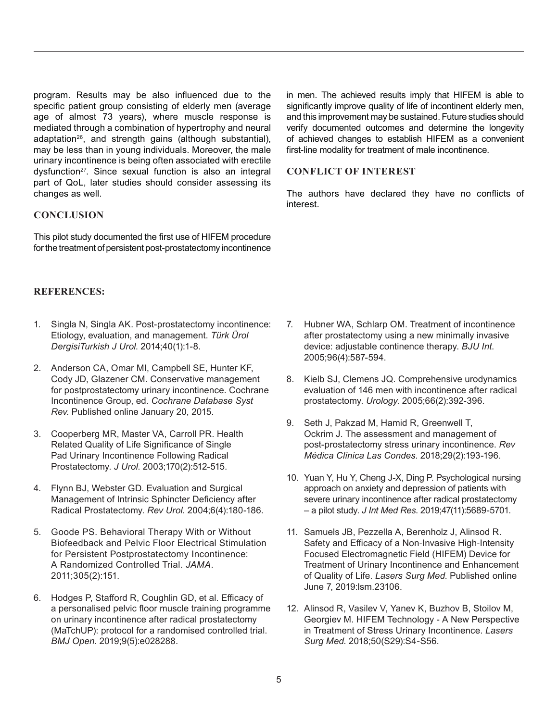program. Results may be also influenced due to the specific patient group consisting of elderly men (average age of almost 73 years), where muscle response is mediated through a combination of hypertrophy and neural adaptation<sup>26</sup>, and strength gains (although substantial), may be less than in young individuals. Moreover, the male urinary incontinence is being often associated with erectile dysfunction<sup>27</sup>. Since sexual function is also an integral part of QoL, later studies should consider assessing its changes as well.

## **CONCLUSION**

This pilot study documented the first use of HIFEM procedure for the treatment of persistent post-prostatectomy incontinence

## **REFERENCES:**

- 1. Singla N, Singla AK. Post-prostatectomy incontinence: Etiology, evaluation, and management. *Türk Ürol DergisiTurkish J Urol*. 2014;40(1):1-8.
- 2. Anderson CA, Omar MI, Campbell SE, Hunter KF, Cody JD, Glazener CM. Conservative management for postprostatectomy urinary incontinence. Cochrane Incontinence Group, ed. *Cochrane Database Syst Rev*. Published online January 20, 2015.
- 3. Cooperberg MR, Master VA, Carroll PR. Health Related Quality of Life Significance of Single Pad Urinary Incontinence Following Radical Prostatectomy. *J Urol*. 2003;170(2):512-515.
- 4. Flynn BJ, Webster GD. Evaluation and Surgical Management of Intrinsic Sphincter Deficiency after Radical Prostatectomy. *Rev Urol*. 2004;6(4):180-186.
- 5. Goode PS. Behavioral Therapy With or Without Biofeedback and Pelvic Floor Electrical Stimulation for Persistent Postprostatectomy Incontinence: A Randomized Controlled Trial. *JAMA*. 2011;305(2):151.
- 6. Hodges P, Stafford R, Coughlin GD, et al. Efficacy of a personalised pelvic floor muscle training programme on urinary incontinence after radical prostatectomy (MaTchUP): protocol for a randomised controlled trial. *BMJ Open*. 2019;9(5):e028288.

in men. The achieved results imply that HIFEM is able to significantly improve quality of life of incontinent elderly men, and this improvement may be sustained. Future studies should verify documented outcomes and determine the longevity of achieved changes to establish HIFEM as a convenient first-line modality for treatment of male incontinence.

## **CONFLICT OF INTEREST**

The authors have declared they have no conflicts of interest.

- 7. Hubner WA, Schlarp OM. Treatment of incontinence after prostatectomy using a new minimally invasive device: adjustable continence therapy. *BJU Int*. 2005;96(4):587-594.
- 8. Kielb SJ, Clemens JQ. Comprehensive urodynamics evaluation of 146 men with incontinence after radical prostatectomy. *Urology*. 2005;66(2):392-396.
- 9. Seth J, Pakzad M, Hamid R, Greenwell T, Ockrim J. The assessment and management of post-prostatectomy stress urinary incontinence. *Rev Médica Clínica Las Condes*. 2018;29(2):193-196.
- 10. Yuan Y, Hu Y, Cheng J-X, Ding P. Psychological nursing approach on anxiety and depression of patients with severe urinary incontinence after radical prostatectomy – a pilot study. *J Int Med Res*. 2019;47(11):5689-5701.
- 11. Samuels JB, Pezzella A, Berenholz J, Alinsod R. Safety and Efficacy of a Non-Invasive High-Intensity Focused Electromagnetic Field (HIFEM) Device for Treatment of Urinary Incontinence and Enhancement of Quality of Life. *Lasers Surg Med*. Published online June 7, 2019:lsm.23106.
- 12. Alinsod R, Vasilev V, Yanev K, Buzhov B, Stoilov M, Georgiev M. HIFEM Technology - A New Perspective in Treatment of Stress Urinary Incontinence. *Lasers Surg Med*. 2018;50(S29):S4-S56.